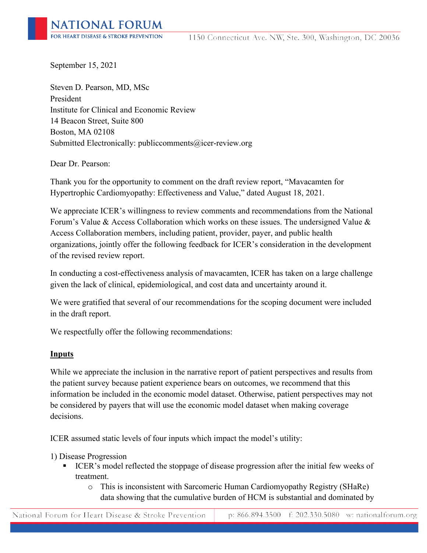September 15, 2021

Steven D. Pearson, MD, MSc President Institute for Clinical and Economic Review 14 Beacon Street, Suite 800 Boston, MA 02108 Submitted Electronically: publiccomments@icer-review.org

Dear Dr. Pearson:

Thank you for the opportunity to comment on the draft review report, "Mavacamten for Hypertrophic Cardiomyopathy: Effectiveness and Value," dated August 18, 2021.

We appreciate ICER's willingness to review comments and recommendations from the National Forum's Value & Access Collaboration which works on these issues. The undersigned Value & Access Collaboration members, including patient, provider, payer, and public health organizations, jointly offer the following feedback for ICER's consideration in the development of the revised review report.

In conducting a cost-effectiveness analysis of mavacamten, ICER has taken on a large challenge given the lack of clinical, epidemiological, and cost data and uncertainty around it.

We were gratified that several of our recommendations for the scoping document were included in the draft report.

We respectfully offer the following recommendations:

### **Inputs**

While we appreciate the inclusion in the narrative report of patient perspectives and results from the patient survey because patient experience bears on outcomes, we recommend that this information be included in the economic model dataset. Otherwise, patient perspectives may not be considered by payers that will use the economic model dataset when making coverage decisions.

ICER assumed static levels of four inputs which impact the model's utility:

1) Disease Progression

- ICER's model reflected the stoppage of disease progression after the initial few weeks of treatment.
	- o This is inconsistent with Sarcomeric Human Cardiomyopathy Registry (SHaRe) data showing that the cumulative burden of HCM is substantial and dominated by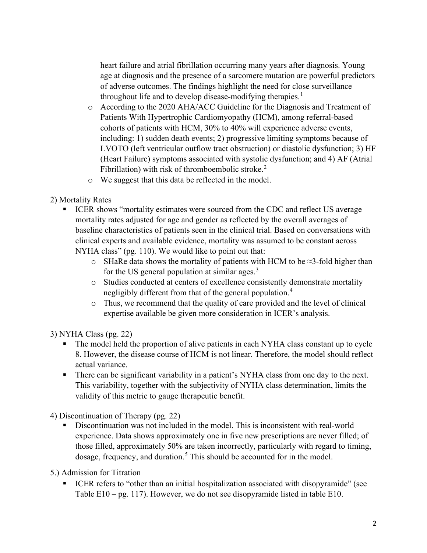heart failure and atrial fibrillation occurring many years after diagnosis. Young age at diagnosis and the presence of a sarcomere mutation are powerful predictors of adverse outcomes. The findings highlight the need for close surveillance throughout life and to develop disease-modifying therapies.<sup>[1](#page-5-0)</sup>

- o According to the 2020 AHA/ACC Guideline for the Diagnosis and Treatment of Patients With Hypertrophic Cardiomyopathy (HCM), among referral-based cohorts of patients with HCM, 30% to 40% will experience adverse events, including: 1) sudden death events; 2) progressive limiting symptoms because of LVOTO (left ventricular outflow tract obstruction) or diastolic dysfunction; 3) HF (Heart Failure) symptoms associated with systolic dysfunction; and 4) AF (Atrial Fibrillation) with risk of thromboembolic stroke.<sup>[2](#page-5-1)</sup>
- o We suggest that this data be reflected in the model.

2) Mortality Rates

- ICER shows "mortality estimates were sourced from the CDC and reflect US average mortality rates adjusted for age and gender as reflected by the overall averages of baseline characteristics of patients seen in the clinical trial. Based on conversations with clinical experts and available evidence, mortality was assumed to be constant across NYHA class" (pg. 110). We would like to point out that:
	- o SHaRe data shows the mortality of patients with HCM to be  $\approx$ 3-fold higher than for the US general population at similar ages.<sup>[3](#page-5-2)</sup>
	- o Studies conducted at centers of excellence consistently demonstrate mortality negligibly different from that of the general population.<sup>[4](#page-5-3)</sup>
	- o Thus, we recommend that the quality of care provided and the level of clinical expertise available be given more consideration in ICER's analysis.

3) NYHA Class (pg. 22)

- The model held the proportion of alive patients in each NYHA class constant up to cycle 8. However, the disease course of HCM is not linear. Therefore, the model should reflect actual variance.
- There can be significant variability in a patient's NYHA class from one day to the next. This variability, together with the subjectivity of NYHA class determination, limits the validity of this metric to gauge therapeutic benefit.

4) Discontinuation of Therapy (pg. 22)

 Discontinuation was not included in the model. This is inconsistent with real-world experience. Data shows approximately one in five new prescriptions are never filled; of those filled, approximately 50% are taken incorrectly, particularly with regard to timing, dosage, frequency, and duration.<sup>[5](#page-5-4)</sup> This should be accounted for in the model.

5.) Admission for Titration

 ICER refers to "other than an initial hospitalization associated with disopyramide" (see Table E10 – pg. 117). However, we do not see disopyramide listed in table E10.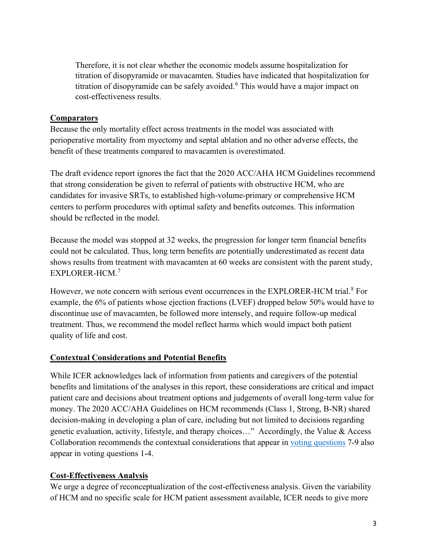Therefore, it is not clear whether the economic models assume hospitalization for titration of disopyramide or mavacamten. Studies have indicated that hospitalization for titration of disopyramide can be safely avoided.<sup>[6](#page-5-5)</sup> This would have a major impact on cost-effectiveness results.

### **Comparators**

Because the only mortality effect across treatments in the model was associated with perioperative mortality from myectomy and septal ablation and no other adverse effects, the benefit of these treatments compared to mavacamten is overestimated.

The draft evidence report ignores the fact that the 2020 ACC/AHA HCM Guidelines recommend that strong consideration be given to referral of patients with obstructive HCM, who are candidates for invasive SRTs, to established high-volume-primary or comprehensive HCM centers to perform procedures with optimal safety and benefits outcomes. This information should be reflected in the model.

Because the model was stopped at 32 weeks, the progression for longer term financial benefits could not be calculated. Thus, long term benefits are potentially underestimated as recent data shows results from treatment with mavacamten at 60 weeks are consistent with the parent study, EXPLORER-HCM.[7](#page-5-6)

However, we note concern with serious event occurrences in the EXPLORER-HCM trial.<sup>[8](#page-5-7)</sup> For example, the 6% of patients whose ejection fractions (LVEF) dropped below 50% would have to discontinue use of mavacamten, be followed more intensely, and require follow-up medical treatment. Thus, we recommend the model reflect harms which would impact both patient quality of life and cost.

# **Contextual Considerations and Potential Benefits**

While ICER acknowledges lack of information from patients and caregivers of the potential benefits and limitations of the analyses in this report, these considerations are critical and impact patient care and decisions about treatment options and judgements of overall long-term value for money. The 2020 ACC/AHA Guidelines on HCM recommends (Class 1, Strong, B-NR) shared decision-making in developing a plan of care, including but not limited to decisions regarding genetic evaluation, activity, lifestyle, and therapy choices…" Accordingly, the Value & Access Collaboration recommends the contextual considerations that appear in [voting questions](https://icer.org/wp-content/uploads/2021/04/ICER_HCM_Draft_Voting_Questions_081821.pdf) 7-9 also appear in voting questions 1-4.

# **Cost-Effectiveness Analysis**

We urge a degree of reconceptualization of the cost-effectiveness analysis. Given the variability of HCM and no specific scale for HCM patient assessment available, ICER needs to give more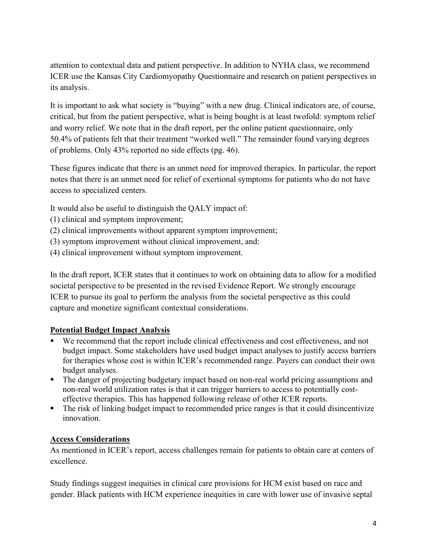attention to contextual data and patient perspective. In addition to NYHA class, we recommend ICER use the Kansas City Cardiomyopathy Questionnaire and research on patient perspectives in its analysis.

It is important to ask what society is "buying" with a new drug. Clinical indicators are, of course, critical, but from the patient perspective, what is being bought is at least twofold: symptom relief and worry relief. We note that in the draft report, per the online patient questionnaire, only 50.4% of patients felt that their treatment "worked well." The remainder found varying degrees of problems. Only 43% reported no side effects (pg. 46).

These figures indicate that there is an unmet need for improved therapies. In particular, the report notes that there is an unmet need for relief of exertional symptoms for patients who do not have access to specialized centers.

It would also be useful to distinguish the QALY impact of:

- (1) clinical and symptom improvement;
- (2) clinical improvements without apparent symptom improvement;
- (3) symptom improvement without clinical improvement, and:
- (4) clinical improvement without symptom improvement.

In the draft report, ICER states that it continues to work on obtaining data to allow for a modified societal perspective to be presented in the revised Evidence Report. We strongly encourage ICER to pursue its goal to perform the analysis from the societal perspective as this could capture and monetize significant contextual considerations.

# **Potential Budget Impact Analysis**

- We recommend that the report include clinical effectiveness and cost effectiveness, and not budget impact. Some stakeholders have used budget impact analyses to justify access barriers for therapies whose cost is within ICER's recommended range. Payers can conduct their own budget analyses.
- The danger of projecting budgetary impact based on non-real world pricing assumptions and non-real world utilization rates is that it can trigger barriers to access to potentially costeffective therapies. This has happened following release of other ICER reports.
- The risk of linking budget impact to recommended price ranges is that it could disincentivize innovation.

### **Access Considerations**

As mentioned in ICER's report, access challenges remain for patients to obtain care at centers of excellence.

Study findings suggest inequities in clinical care provisions for HCM exist based on race and gender. Black patients with HCM experience inequities in care with lower use of invasive septal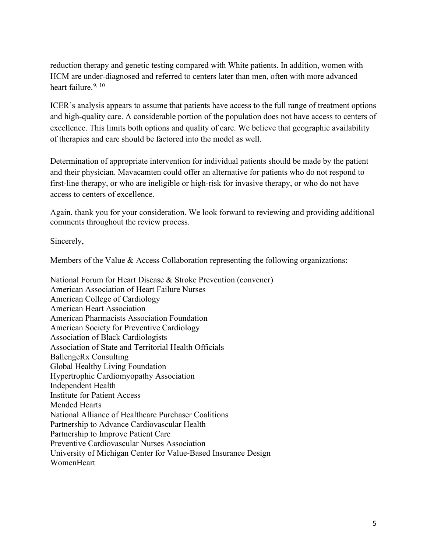reduction therapy and genetic testing compared with White patients. In addition, women with HCM are under-diagnosed and referred to centers later than men, often with more advanced heart failure.  $9, 10$  $9, 10$  $9, 10$ 

ICER's analysis appears to assume that patients have access to the full range of treatment options and high-quality care. A considerable portion of the population does not have access to centers of excellence. This limits both options and quality of care. We believe that geographic availability of therapies and care should be factored into the model as well.

Determination of appropriate intervention for individual patients should be made by the patient and their physician. Mavacamten could offer an alternative for patients who do not respond to first-line therapy, or who are ineligible or high-risk for invasive therapy, or who do not have access to centers of excellence.

Again, thank you for your consideration. We look forward to reviewing and providing additional comments throughout the review process.

Sincerely,

Members of the Value & Access Collaboration representing the following organizations:

National Forum for Heart Disease & Stroke Prevention (convener) American Association of Heart Failure Nurses American College of Cardiology American Heart Association American Pharmacists Association Foundation American Society for Preventive Cardiology Association of Black Cardiologists Association of State and Territorial Health Officials BallengeRx Consulting Global Healthy Living Foundation Hypertrophic Cardiomyopathy Association Independent Health Institute for Patient Access Mended Hearts National Alliance of Healthcare Purchaser Coalitions Partnership to Advance Cardiovascular Health Partnership to Improve Patient Care Preventive Cardiovascular Nurses Association University of Michigan Center for Value-Based Insurance Design **WomenHeart**